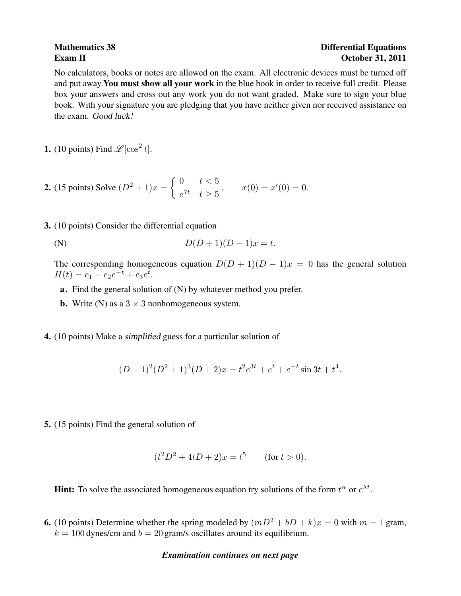## Mathematics 38 **Differential Equations** Exam II October 31, 2011

No calculators, books or notes are allowed on the exam. All electronic devices must be turned off and put away.You must show all your work in the blue book in order to receive full credit. Please box your answers and cross out any work you do not want graded. Make sure to sign your blue book. With your signature you are pledging that you have neither given nor received assistance on the exam. Good luck!

**1.** (10 points) Find  $\mathcal{L}[\cos^2 t]$ .

**2.** (15 points) Solve 
$$
(D^2 + 1)x = \begin{cases} 0 & t < 5 \\ e^{7t} & t \ge 5 \end{cases}
$$
,  $x(0) = x'(0) = 0$ .

3. (10 points) Consider the differential equation

(N) 
$$
D(D+1)(D-1)x = t.
$$

The corresponding homogeneous equation  $D(D + 1)(D - 1)x = 0$  has the general solution  $H(t) = c_1 + c_2 e^{-t} + c_3 e^{t}.$ 

- a. Find the general solution of (N) by whatever method you prefer.
- **b.** Write (N) as a  $3 \times 3$  nonhomogeneous system.
- 4. (10 points) Make a simplified guess for a particular solution of

$$
(D-1)^{2}(D^{2}+1)^{3}(D+2)x = t^{2}e^{3t} + e^{t} + e^{-t}\sin 3t + t^{4}.
$$

5. (15 points) Find the general solution of

$$
(t2D2 + 4tD + 2)x = t5
$$
 (for  $t > 0$ ).

**Hint:** To solve the associated homogeneous equation try solutions of the form  $t^{\alpha}$  or  $e^{\lambda t}$ .

6. (10 points) Determine whether the spring modeled by  $(mD^2 + bD + k)x = 0$  with  $m = 1$  gram,  $k = 100$  dynes/cm and  $b = 20$  gram/s oscillates around its equilibrium.

## *Examination continues on next page*